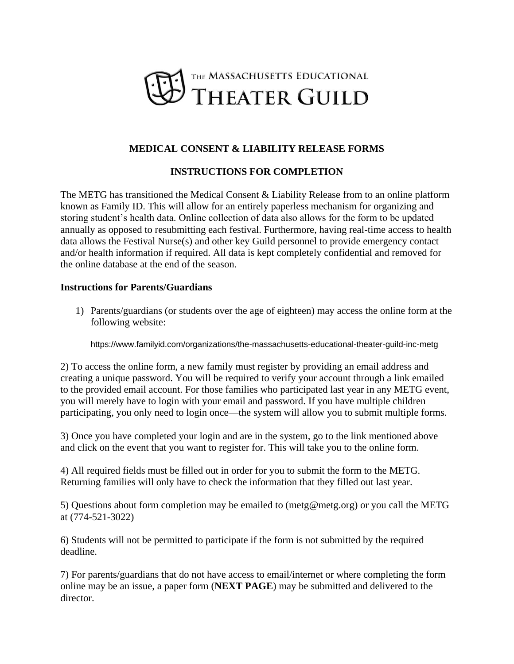

## **MEDICAL CONSENT & LIABILITY RELEASE FORMS**

## **INSTRUCTIONS FOR COMPLETION**

The METG has transitioned the Medical Consent & Liability Release from to an online platform known as Family ID. This will allow for an entirely paperless mechanism for organizing and storing student's health data. Online collection of data also allows for the form to be updated annually as opposed to resubmitting each festival. Furthermore, having real-time access to health data allows the Festival Nurse(s) and other key Guild personnel to provide emergency contact and/or health information if required. All data is kept completely confidential and removed for the online database at the end of the season.

### **Instructions for Parents/Guardians**

1) Parents/guardians (or students over the age of eighteen) may access the online form at the following website:

https://www.familyid.com/organizations/the-massachusetts-educational-theater-guild-inc-metg

2) To access the online form, a new family must register by providing an email address and creating a unique password. You will be required to verify your account through a link emailed to the provided email account. For those families who participated last year in any METG event, you will merely have to login with your email and password. If you have multiple children participating, you only need to login once—the system will allow you to submit multiple forms.

3) Once you have completed your login and are in the system, go to the link mentioned above and click on the event that you want to register for. This will take you to the online form.

4) All required fields must be filled out in order for you to submit the form to the METG. Returning families will only have to check the information that they filled out last year.

5) Questions about form completion may be emailed to (metg@metg.org) or you call the METG at (774-521-3022)

6) Students will not be permitted to participate if the form is not submitted by the required deadline.

7) For parents/guardians that do not have access to email/internet or where completing the form online may be an issue, a paper form (**NEXT PAGE**) may be submitted and delivered to the director.